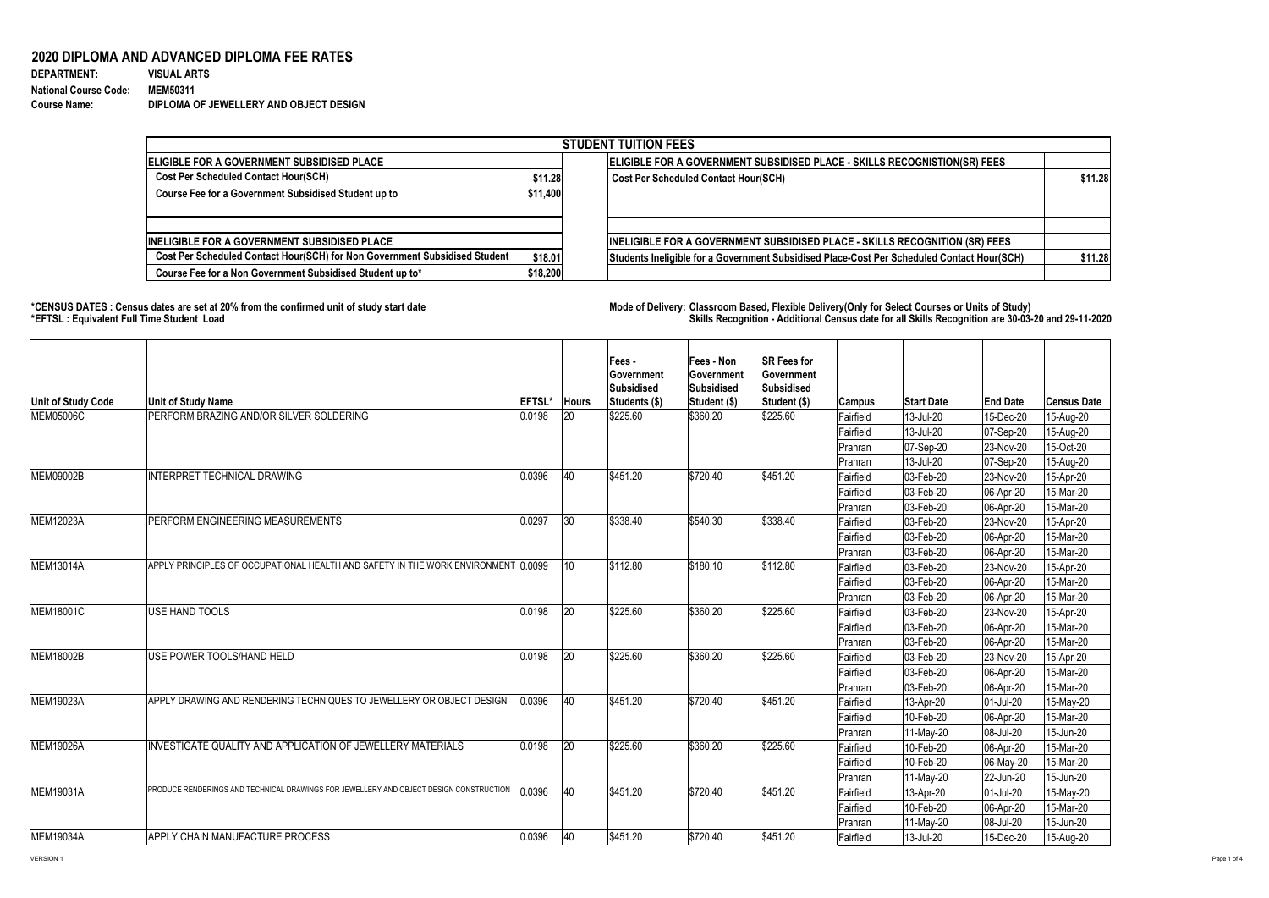## **2020 DIPLOMA AND ADVANCED DIPLOMA FEE RATES**

| <b>DEPARTMENT:</b>           | <b>VISUAL ARTS</b>                     |
|------------------------------|----------------------------------------|
| <b>National Course Code:</b> | <b>MEM50311</b>                        |
| <b>Course Name:</b>          | DIPLOMA OF JEWELLERY AND OBJECT DESIGN |

**\*CENSUS DATES : Census dates are set at 20% from the confirmed unit of study start date Mode of Delivery: Classroom Based, Flexible Delivery(Only for Select Courses or Units of Study) \*EFTSL : Equivalent Full Time Student Load Skills Recognition - Additional Census date for all Skills Recognition are 30-03-20 and 29-11-2020** 

|                                                                            |          | <b>STUDENT TUITION FEES</b>                                                                |         |
|----------------------------------------------------------------------------|----------|--------------------------------------------------------------------------------------------|---------|
| ELIGIBLE FOR A GOVERNMENT SUBSIDISED PLACE                                 |          | ELIGIBLE FOR A GOVERNMENT SUBSIDISED PLACE - SKILLS RECOGNISTION(SR) FEES                  |         |
| <b>Cost Per Scheduled Contact Hour(SCH)</b>                                | \$11.28  | <b>Cost Per Scheduled Contact Hour(SCH)</b>                                                | \$11.28 |
| Course Fee for a Government Subsidised Student up to                       | \$11,400 |                                                                                            |         |
|                                                                            |          |                                                                                            |         |
|                                                                            |          |                                                                                            |         |
| <b>INELIGIBLE FOR A GOVERNMENT SUBSIDISED PLACE</b>                        |          | INELIGIBLE FOR A GOVERNMENT SUBSIDISED PLACE - SKILLS RECOGNITION (SR) FEES                |         |
| Cost Per Scheduled Contact Hour(SCH) for Non Government Subsidised Student | \$18.01  | Students Ineligible for a Government Subsidised Place-Cost Per Scheduled Contact Hour(SCH) | \$11.28 |
| Course Fee for a Non Government Subsidised Student up to*                  | \$18,200 |                                                                                            |         |

| <b>Unit of Study Code</b> | <b>Unit of Study Name</b>                                                              | <b>EFTSL'</b> | <b>Hours</b> | Fees -<br>∣Government<br><b>Subsidised</b><br>Students (\$) | <b>Fees - Non</b><br><b>Sovernment</b><br><b>Subsidised</b><br><b>Student (\$)</b> | <b>SR Fees for</b><br>Government<br>Subsidised<br>Student (\$) | <b>Campus</b>  | <b>Start Date</b>        | <b>End Date</b> | <b>Census Date</b> |
|---------------------------|----------------------------------------------------------------------------------------|---------------|--------------|-------------------------------------------------------------|------------------------------------------------------------------------------------|----------------------------------------------------------------|----------------|--------------------------|-----------------|--------------------|
| <b>MEM05006C</b>          | PERFORM BRAZING AND/OR SILVER SOLDERING                                                | 0.0198        | 20           | \$225.60                                                    | \$360.20                                                                           | \$225.60                                                       | Fairfield      | $13$ -Jul-20             | 15-Dec-20       | 15-Aug-20          |
|                           |                                                                                        |               |              |                                                             |                                                                                    |                                                                | Fairfield      | 13-Jul-20                | 07-Sep-20       | 15-Aug-20          |
|                           |                                                                                        |               |              |                                                             |                                                                                    |                                                                | Prahran        | $ 07 - \text{Sep-}20 $   | 23-Nov-20       | 15-Oct-20          |
|                           |                                                                                        |               |              |                                                             |                                                                                    |                                                                | <b>Prahran</b> | 13-Jul-20                | $ 07-Sep-20$    | 15-Aug-20          |
| <b>MEM09002B</b>          | <b>INTERPRET TECHNICAL DRAWING</b>                                                     | 0.0396        | 40           | \$451.20                                                    | \$720.40                                                                           | \$451.20                                                       | Fairfield      | $ 03 - \text{Feb} - 20 $ | 23-Nov-20       | 15-Apr-20          |
|                           |                                                                                        |               |              |                                                             |                                                                                    |                                                                | Fairfield      | 03-Feb-20                | 06-Apr-20       | 15-Mar-20          |
|                           |                                                                                        |               |              |                                                             |                                                                                    |                                                                | <b>Prahran</b> | $ 03 - \text{Feb} - 20 $ | 06-Apr-20       | 15-Mar-20          |
| <b>IMEM12023A</b>         | PERFORM ENGINEERING MEASUREMENTS                                                       | 0.0297        | 30           | \$338.40                                                    | \$540.30                                                                           | \$338.40                                                       | Fairfield      | 03-Feb-20                | 23-Nov-20       | 15-Apr-20          |
|                           |                                                                                        |               |              |                                                             |                                                                                    |                                                                | Fairfield      | 03-Feb-20                | 06-Apr-20       | 15-Mar-20          |
|                           |                                                                                        |               |              |                                                             |                                                                                    |                                                                | <b>Prahran</b> | $ 03 - \text{Feb} - 20 $ | 06-Apr-20       | 15-Mar-20          |
| <b>IMEM13014A</b>         | APPLY PRINCIPLES OF OCCUPATIONAL HEALTH AND SAFETY IN THE WORK ENVIRONMENT 0.0099      |               | 10           | \$112.80                                                    | \$180.10                                                                           | \$112.80                                                       | Fairfield      | 03-Feb-20                | 23-Nov-20       | 15-Apr-20          |
|                           |                                                                                        |               |              |                                                             |                                                                                    |                                                                | Fairfield      | $ 03 - Feb - 20 $        | 06-Apr-20       | 15-Mar-20          |
|                           |                                                                                        |               |              |                                                             |                                                                                    |                                                                | Prahran        | 03-Feb-20                | 06-Apr-20       | 15-Mar-20          |
| MEM18001C                 | USE HAND TOOLS                                                                         | 0.0198        | 20           | \$225.60                                                    | \$360.20                                                                           | \$225.60                                                       | Fairfield      | 03-Feb-20                | 23-Nov-20       | $15-Apr-20$        |
|                           |                                                                                        |               |              |                                                             |                                                                                    |                                                                | Fairfield      | $ 03 - Feb - 20 $        | 06-Apr-20       | 15-Mar-20          |
|                           |                                                                                        |               |              |                                                             |                                                                                    |                                                                | Prahran        | 03-Feb-20                | 06-Apr-20       | 15-Mar-20          |
| <b>IMEM18002B</b>         | USE POWER TOOLS/HAND HELD                                                              | 0.0198        | 20           | \$225.60                                                    | \$360.20                                                                           | \$225.60                                                       | Fairfield      | 03-Feb-20                | 23-Nov-20       | 15-Apr-20          |
|                           |                                                                                        |               |              |                                                             |                                                                                    |                                                                | Fairfield      | 03-Feb-20                | 06-Apr-20       | 15-Mar-20          |
|                           |                                                                                        |               |              |                                                             |                                                                                    |                                                                | Prahran        | 03-Feb-20                | 06-Apr-20       | 15-Mar-20          |
| MEM19023A                 | APPLY DRAWING AND RENDERING TECHNIQUES TO JEWELLERY OR OBJECT DESIGN                   | 0.0396        | <b>40</b>    | \$451.20                                                    | \$720.40                                                                           | \$451.20                                                       | Fairfield      | $13$ -Apr-20             | $ 01 -$ Jul-20  | 15-May-20          |
|                           |                                                                                        |               |              |                                                             |                                                                                    |                                                                | Fairfield      | 10-Feb-20                | 06-Apr-20       | 15-Mar-20          |
|                           |                                                                                        |               |              |                                                             |                                                                                    |                                                                | Prahran        | 11-May-20                | 08-Jul-20       | 15-Jun-20          |
| MEM19026A                 | INVESTIGATE QUALITY AND APPLICATION OF JEWELLERY MATERIALS                             | 0.0198        | 20           | \$225.60                                                    | \$360.20                                                                           | \$225.60                                                       | Fairfield      | 10-Feb-20                | 06-Apr-20       | 15-Mar-20          |
|                           |                                                                                        |               |              |                                                             |                                                                                    |                                                                | Fairfield      | 10-Feb-20                | $ 06-May-20 $   | 15-Mar-20          |
|                           |                                                                                        |               |              |                                                             |                                                                                    |                                                                | Prahran        | 11-May-20                | 22-Jun-20       | 15-Jun-20          |
| <b>IMEM19031A</b>         | PRODUCE RENDERINGS AND TECHNICAL DRAWINGS FOR JEWELLERY AND OBJECT DESIGN CONSTRUCTION | 0.0396        | <b>40</b>    | $\frac{1}{2}451.20$                                         | \$720.40                                                                           | \$451.20                                                       | Fairfield      | $13$ -Apr-20             | $ 01 -$ Jul-20  | 15-May-20          |
|                           |                                                                                        |               |              |                                                             |                                                                                    |                                                                | Fairfield      | $10$ -Feb-20             | 06-Apr-20       | 15-Mar-20          |
|                           |                                                                                        |               |              |                                                             |                                                                                    |                                                                | <b>Prahran</b> | 11-May-20                | 08-Jul-20       | 15-Jun-20          |
| <b>IMEM19034A</b>         | <b>APPLY CHAIN MANUFACTURE PROCESS</b>                                                 | 0.0396        | 40           | \$451.20                                                    | \$720.40                                                                           | \$451.20                                                       | Fairfield      | $13$ -Jul-20             | 15-Dec-20       | 15-Aug-20          |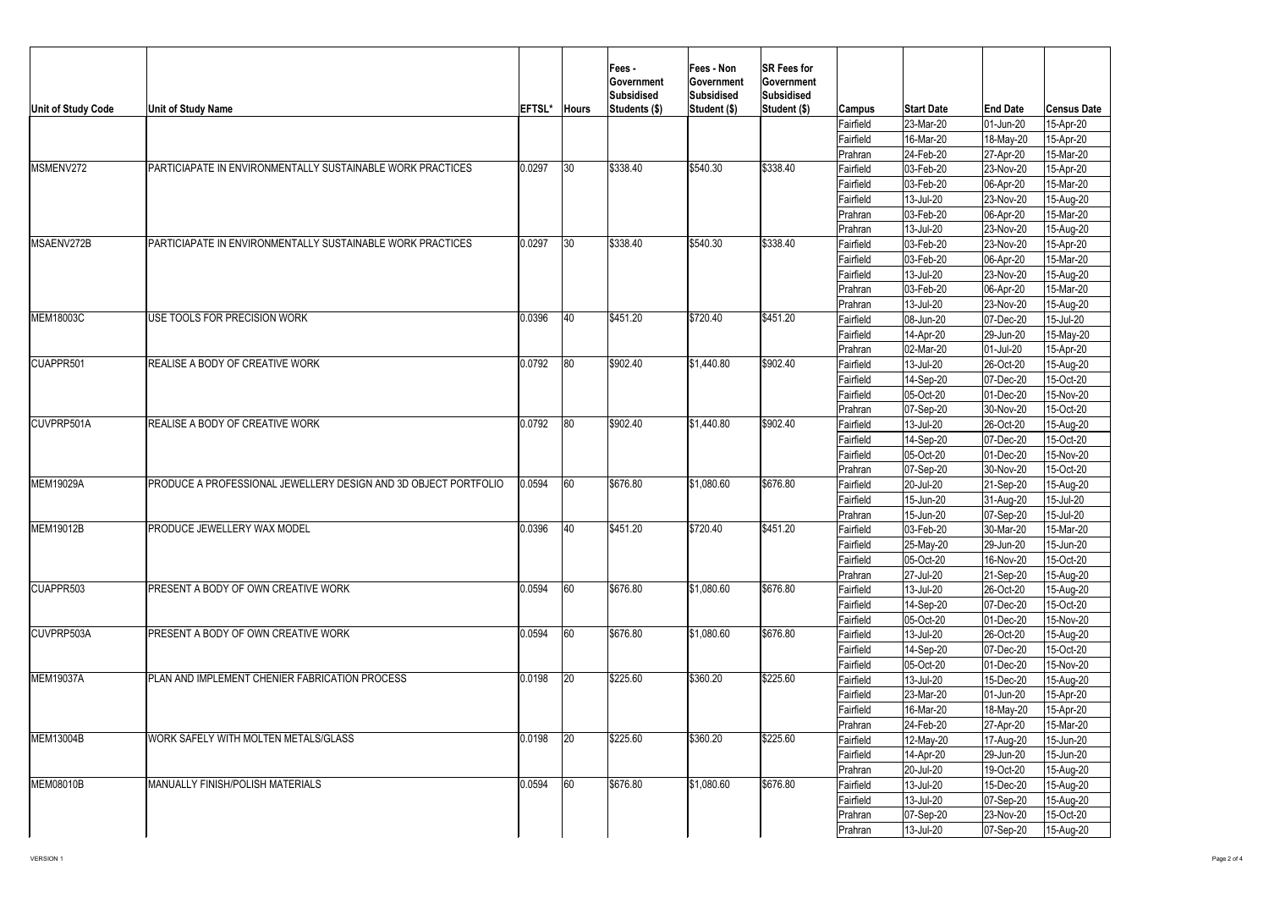| Unit of Study Code | <b>Unit of Study Name</b>                                       | <b>EFTSL*</b> | <b>Hours</b> | <b> Fees -</b><br>∣Government<br> Subsidised<br>Students (\$) | <b>Fees - Non</b><br><b>Government</b><br><b>Subsidised</b><br><b>Student (\$)</b> | <b>SR Fees for</b><br>Government<br>Subsidised<br>Student (\$) | <b>Campus</b>  | <b>Start Date</b>        | <b>End Date</b>        | <b>Census Date</b> |
|--------------------|-----------------------------------------------------------------|---------------|--------------|---------------------------------------------------------------|------------------------------------------------------------------------------------|----------------------------------------------------------------|----------------|--------------------------|------------------------|--------------------|
|                    |                                                                 |               |              |                                                               |                                                                                    |                                                                | Fairfield      | $ 23$ -Mar-20            | 01-Jun-20              | 15-Apr-20          |
|                    |                                                                 |               |              |                                                               |                                                                                    |                                                                | Fairfield      | 16-Mar-20                | 18-May-20              | 15-Apr-20          |
|                    |                                                                 |               |              |                                                               |                                                                                    |                                                                | <b>Prahran</b> | $ 24 - \text{Feb} - 20 $ | 27-Apr-20              | 15-Mar-20          |
| MSMENV272          | PARTICIAPATE IN ENVIRONMENTALLY SUSTAINABLE WORK PRACTICES      | 0.0297        | 30           | \$338.40                                                      | \$540.30                                                                           | \$338.40                                                       | Fairfield      | $ 03 - Feb - 20 $        | 23-Nov-20              | 15-Apr-20          |
|                    |                                                                 |               |              |                                                               |                                                                                    |                                                                | Fairfield      | 03-Feb-20                | 06-Apr-20              | 15-Mar-20          |
|                    |                                                                 |               |              |                                                               |                                                                                    |                                                                | Fairfield      | $ 13 -$ Jul-20           | 23-Nov-20              | 15-Aug-20          |
|                    |                                                                 |               |              |                                                               |                                                                                    |                                                                | Prahran        | $ 03 - \text{Feb} - 20 $ | 06-Apr-20              | 15-Mar-20          |
|                    |                                                                 |               |              |                                                               |                                                                                    |                                                                | <b>Prahran</b> | 13-Jul-20                | 23-Nov-20              | 15-Aug-20          |
| <b>IMSAENV272B</b> | PARTICIAPATE IN ENVIRONMENTALLY SUSTAINABLE WORK PRACTICES      | 0.0297        | 30           | \$338.40                                                      | \$540.30                                                                           | \$338.40                                                       | Fairfield      | $ 03 - \text{Feb} - 20 $ | 23-Nov-20              | 15-Apr-20          |
|                    |                                                                 |               |              |                                                               |                                                                                    |                                                                | Fairfield      | $ 03 - \text{Feb} - 20 $ | 06-Apr-20              | 15-Mar-20          |
|                    |                                                                 |               |              |                                                               |                                                                                    |                                                                | Fairfield      | 13-Jul-20                | 23-Nov-20              | 15-Aug-20          |
|                    |                                                                 |               |              |                                                               |                                                                                    |                                                                | Prahran        | $ 03 - Feb - 20 $        | 06-Apr-20              | 15-Mar-20          |
|                    |                                                                 |               |              |                                                               |                                                                                    |                                                                | <b>Prahran</b> | 13-Jul-20                | 23-Nov-20              | 15-Aug-20          |
| MEM18003C          | USE TOOLS FOR PRECISION WORK                                    | 0.0396        | 40           | \$451.20                                                      | \$720.40                                                                           | \$451.20                                                       | Fairfield      | 08-Jun-20                | 07-Dec-20              | 15-Jul-20          |
|                    |                                                                 |               |              |                                                               |                                                                                    |                                                                | Fairfield      | 14-Apr-20                | 29-Jun-20              | 15-May-20          |
|                    |                                                                 |               |              |                                                               |                                                                                    |                                                                | <b>Prahran</b> | 02-Mar-20                | 01-Jul-20              | 15-Apr-20          |
| <b>CUAPPR501</b>   | REALISE A BODY OF CREATIVE WORK                                 | 0.0792        | 80           | \$902.40                                                      | \$1,440.80                                                                         | \$902.40                                                       | Fairfield      | 13-Jul-20                | 26-Oct-20              | 15-Aug-20          |
|                    |                                                                 |               |              |                                                               |                                                                                    |                                                                | Fairfield      | 14-Sep-20                | 07-Dec-20              | 15-Oct-20          |
|                    |                                                                 |               |              |                                                               |                                                                                    |                                                                | Fairfield      | 05-Oct-20                | 01-Dec-20              | 15-Nov-20          |
|                    |                                                                 |               |              |                                                               |                                                                                    |                                                                | <b>Prahran</b> | $ 07-Sep-20$             | 30-Nov-20              | 15-Oct-20          |
| <b>CUVPRP501A</b>  | REALISE A BODY OF CREATIVE WORK                                 | 0.0792        | 80           | \$902.40                                                      | \$1,440.80                                                                         | \$902.40                                                       | Fairfield      | 13-Jul-20                | 26-Oct-20              | 15-Aug-20          |
|                    |                                                                 |               |              |                                                               |                                                                                    |                                                                | Fairfield      | 14-Sep-20                | 07-Dec-20              | 15-Oct-20          |
|                    |                                                                 |               |              |                                                               |                                                                                    |                                                                | Fairfield      | 05-Oct-20                | 01-Dec-20              | 15-Nov-20          |
|                    |                                                                 |               |              |                                                               |                                                                                    |                                                                | <b>Prahran</b> | 07-Sep-20                | 30-Nov-20              | 15-Oct-20          |
| MEM19029A          | PRODUCE A PROFESSIONAL JEWELLERY DESIGN AND 3D OBJECT PORTFOLIO | 0.0594        | 60           | \$676.80                                                      | \$1,080.60                                                                         | \$676.80                                                       | Fairfield      | 20-Jul-20                | $ 21-Sep-20 $          | 15-Aug-20          |
|                    |                                                                 |               |              |                                                               |                                                                                    |                                                                | Fairfield      | 15-Jun-20                | $ 31 - Aug-20 $        | 15-Jul-20          |
|                    |                                                                 |               |              |                                                               |                                                                                    |                                                                | <b>Prahran</b> | 15-Jun-20                | 07-Sep-20              | 15-Jul-20          |
| <b>MEM19012B</b>   | PRODUCE JEWELLERY WAX MODEL                                     | 0.0396        | 40           | \$451.20                                                      | \$720.40                                                                           | \$451.20                                                       | Fairfield      | $ 03 - \text{Feb} - 20 $ | 30-Mar-20              | 15-Mar-20          |
|                    |                                                                 |               |              |                                                               |                                                                                    |                                                                | Fairfield      | $ 25$ -May-20            | 29-Jun-20              | 15-Jun-20          |
|                    |                                                                 |               |              |                                                               |                                                                                    |                                                                | Fairfield      | $ 05$ -Oct-20            | 16-Nov-20              | 15-Oct-20          |
|                    |                                                                 |               |              |                                                               |                                                                                    |                                                                | <b>Prahran</b> | $ 27 -$ Jul-20           | $ 21 - \text{Sep-}20 $ | 15-Aug-20          |
| ICUAPPR503         | PRESENT A BODY OF OWN CREATIVE WORK                             | 0.0594        | 60           | \$676.80                                                      | \$1,080.60                                                                         | \$676.80                                                       | Fairfield      | 13-Jul-20                | 26-Oct-20              | 15-Aug-20          |
|                    |                                                                 |               |              |                                                               |                                                                                    |                                                                | Fairfield      | 14-Sep-20                | 07-Dec-20              | 15-Oct-20          |
|                    |                                                                 |               |              |                                                               |                                                                                    |                                                                | Fairfield      | 05-Oct-20                | 01-Dec-20              | 15-Nov-20          |
| <b>CUVPRP503A</b>  | PRESENT A BODY OF OWN CREATIVE WORK                             | 0.0594        | 60           | \$676.80                                                      | \$1,080.60                                                                         | \$676.80                                                       | Fairfield      | 13-Jul-20                | 26-Oct-20              | 15-Aug-20          |
|                    |                                                                 |               |              |                                                               |                                                                                    |                                                                | Fairfield      | 14-Sep-20                | 07-Dec-20              | 15-Oct-20          |
|                    |                                                                 |               |              |                                                               |                                                                                    |                                                                | Fairfield      | 05-Oct-20                | 01-Dec-20              | 15-Nov-20          |
| <b>MEM19037A</b>   | PLAN AND IMPLEMENT CHENIER FABRICATION PROCESS                  | 0.0198        | 20           | \$225.60                                                      | \$360.20                                                                           | \$225.60                                                       | Fairfield      | 13-Jul-20                | 15-Dec-20              | 15-Aug-20          |
|                    |                                                                 |               |              |                                                               |                                                                                    |                                                                | Fairfield      | $ 23$ -Mar-20            | 01-Jun-20              | 15-Apr-20          |
|                    |                                                                 |               |              |                                                               |                                                                                    |                                                                | Fairfield      | 16-Mar-20                | $ 18-May-20 $          | 15-Apr-20          |
|                    |                                                                 |               |              |                                                               |                                                                                    |                                                                | <b>Prahran</b> | $ 24 - \text{Feb} - 20 $ | $ 27 - Apr - 20 $      | 15-Mar-20          |
| MEM13004B          | WORK SAFELY WITH MOLTEN METALS/GLASS                            | 0.0198        | 20           | \$225.60                                                      | \$360.20                                                                           | \$225.60                                                       | Fairfield      | 12-May-20                | 17-Aug-20              | 15-Jun-20          |
|                    |                                                                 |               |              |                                                               |                                                                                    |                                                                | Fairfield      | 14-Apr-20                | 29-Jun-20              | 15-Jun-20          |
|                    |                                                                 |               |              |                                                               |                                                                                    |                                                                | <b>Prahran</b> | 20-Jul-20                | 19-Oct-20              | 15-Aug-20          |
| MEM08010B          | MANUALLY FINISH/POLISH MATERIALS                                | 0.0594        | 60           | \$676.80                                                      | \$1,080.60                                                                         | \$676.80                                                       | Fairfield      | 13-Jul-20                | 15-Dec-20              | 15-Aug-20          |
|                    |                                                                 |               |              |                                                               |                                                                                    |                                                                | Fairfield      | 13-Jul-20                | 07-Sep-20              | 15-Aug-20          |
|                    |                                                                 |               |              |                                                               |                                                                                    |                                                                | Prahran        | 07-Sep-20                | 23-Nov-20              | 15-Oct-20          |
|                    |                                                                 |               |              |                                                               |                                                                                    |                                                                | <b>Prahran</b> | $ 13 -$ Jul-20           | 07-Sep-20              | 15-Aug-20          |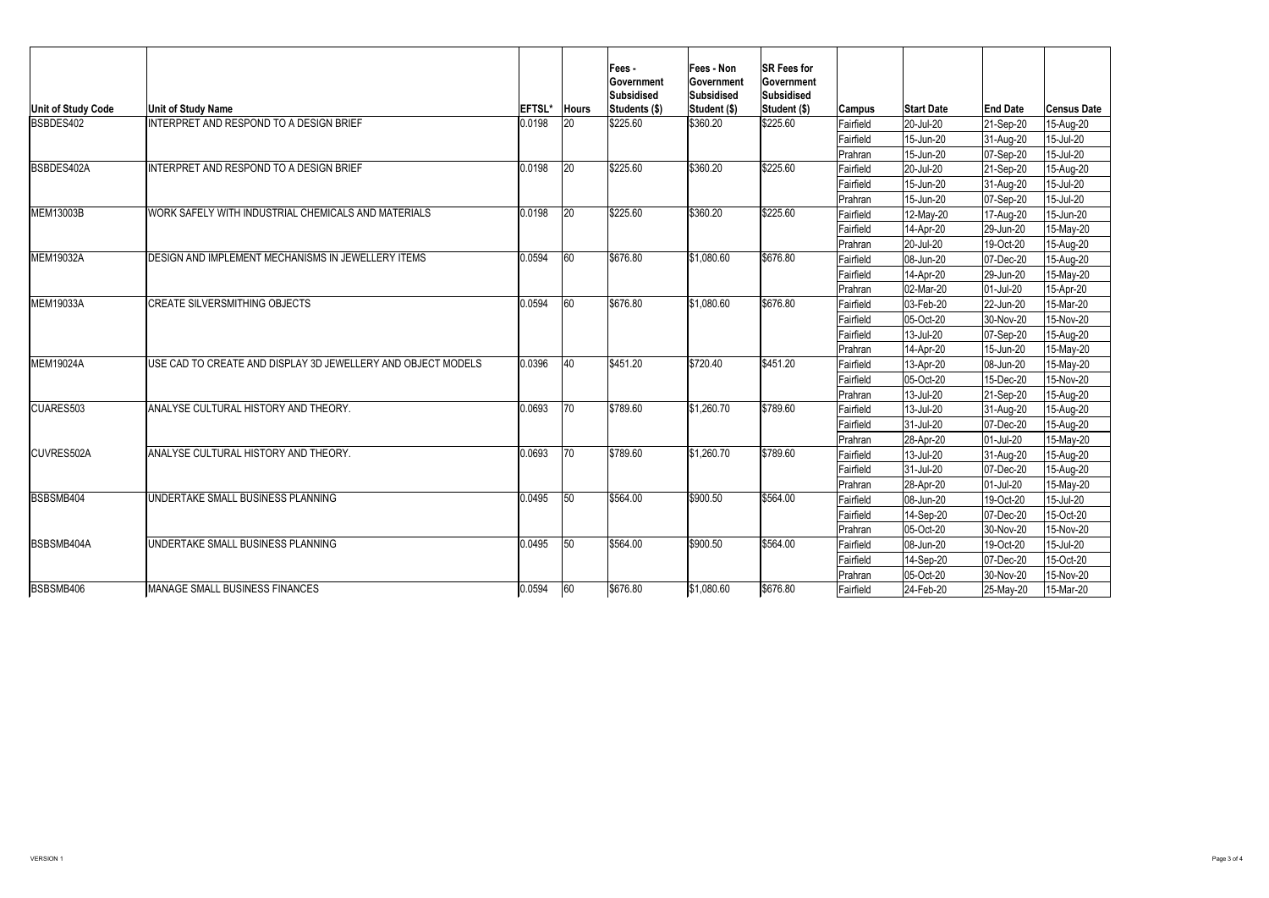|                           |                                                              |               |              | Fees -<br><b>Sovernment</b><br><b>Subsidised</b> | <b>Fees - Non</b><br><b>Government</b><br><b>Subsidised</b> | <b>SR Fees for</b><br><b>Government</b><br>Subsidised |               |                          |                        |                    |
|---------------------------|--------------------------------------------------------------|---------------|--------------|--------------------------------------------------|-------------------------------------------------------------|-------------------------------------------------------|---------------|--------------------------|------------------------|--------------------|
| <b>Unit of Study Code</b> | <b>Unit of Study Name</b>                                    | <b>EFTSL*</b> | <b>Hours</b> | Students (\$)                                    | Student (\$)                                                | Student (\$)                                          | <b>Campus</b> | <b>Start Date</b>        | <b>End Date</b>        | <b>Census Date</b> |
| BSBDES402                 | <b>INTERPRET AND RESPOND TO A DESIGN BRIEF</b>               | 0.0198        | 20           | \$225.60                                         | \$360.20                                                    | \$225.60                                              | Fairfield     | 20-Jul-20                | $ 21-Sep-20 $          | 15-Aug-20          |
|                           |                                                              |               |              |                                                  |                                                             |                                                       | Fairfield     | 15-Jun-20                | 31-Aug-20              | 15-Jul-20          |
|                           |                                                              |               |              |                                                  |                                                             |                                                       | Prahran       | 15-Jun-20                | $ 07 - \text{Sep-}20 $ | 15-Jul-20          |
| <b>BSBDES402A</b>         | <b>INTERPRET AND RESPOND TO A DESIGN BRIEF</b>               | 0.0198        | 20           | \$225.60                                         | \$360.20                                                    | \$225.60                                              | Fairfield     | 20-Jul-20                | $ 21-Sep-20 $          | 15-Aug-20          |
|                           |                                                              |               |              |                                                  |                                                             |                                                       | Fairfield     | 15-Jun-20                | 31-Aug-20              | 15-Jul-20          |
|                           |                                                              |               |              |                                                  |                                                             |                                                       | Prahran       | 15-Jun-20                | $ 07-Sep-20 $          | 15-Jul-20          |
| MEM13003B                 | WORK SAFELY WITH INDUSTRIAL CHEMICALS AND MATERIALS          | 0.0198        | 20           | \$225.60                                         | \$360.20                                                    | \$225.60                                              | Fairfield     | $ 12$ -May-20            | 17-Aug-20              | 15-Jun-20          |
|                           |                                                              |               |              |                                                  |                                                             |                                                       | Fairfield     | $ 14 - Apr-20 $          | 29-Jun-20              | 15-May-20          |
|                           |                                                              |               |              |                                                  |                                                             |                                                       | Prahran       | 20-Jul-20                | 19-Oct-20              | 15-Aug-20          |
| MEM19032A                 | DESIGN AND IMPLEMENT MECHANISMS IN JEWELLERY ITEMS           | 0.0594        | 60           | \$676.80                                         | \$1,080.60                                                  | \$676.80                                              | Fairfield     | 08-Jun-20                | 07-Dec-20              | 15-Aug-20          |
|                           |                                                              |               |              |                                                  |                                                             |                                                       | Fairfield     | $14-Apr-20$              | 29-Jun-20              | 15-May-20          |
|                           |                                                              |               |              |                                                  |                                                             |                                                       | Prahran       | 02-Mar-20                | 01-Jul-20              | 15-Apr-20          |
| MEM19033A                 | <b>CREATE SILVERSMITHING OBJECTS</b>                         | 0.0594        | 60           | \$676.80                                         | \$1,080.60                                                  | \$676.80                                              | Fairfield     | $ 03 - Feb - 20 $        | 22-Jun-20              | 15-Mar-20          |
|                           |                                                              |               |              |                                                  |                                                             |                                                       | Fairfield     | 05-Oct-20                | 30-Nov-20              | 15-Nov-20          |
|                           |                                                              |               |              |                                                  |                                                             |                                                       | Fairfield     | 13-Jul-20                | 07-Sep-20              | 15-Aug-20          |
|                           |                                                              |               |              |                                                  |                                                             |                                                       | Prahran       | $14-Apr-20$              | 15-Jun-20              | 15-May-20          |
| <b>MEM19024A</b>          | USE CAD TO CREATE AND DISPLAY 3D JEWELLERY AND OBJECT MODELS | 0.0396        | 40           | \$451.20                                         | \$720.40                                                    | \$451.20                                              | Fairfield     | 13-Apr-20                | 08-Jun-20              | 15-May-20          |
|                           |                                                              |               |              |                                                  |                                                             |                                                       | Fairfield     | 05-Oct-20                | 15-Dec-20              | 15-Nov-20          |
|                           |                                                              |               |              |                                                  |                                                             |                                                       | Prahran       | 13-Jul-20                | $ 21-Sep-20 $          | 15-Aug-20          |
| <b>CUARES503</b>          | ANALYSE CULTURAL HISTORY AND THEORY.                         | 0.0693        | 70           | \$789.60                                         | \$1,260.70                                                  | \$789.60                                              | Fairfield     | 13-Jul-20                | 31-Aug-20              | 15-Aug-20          |
|                           |                                                              |               |              |                                                  |                                                             |                                                       | Fairfield     | $ 31 -$ Jul-20           | 07-Dec-20              | 15-Aug-20          |
|                           |                                                              |               |              |                                                  |                                                             |                                                       | Prahran       | $ 28 - Apr-20 $          | 01-Jul-20              | 15-May-20          |
| <b>CUVRES502A</b>         | ANALYSE CULTURAL HISTORY AND THEORY.                         | 0.0693        | 70           | \$789.60                                         | \$1,260.70                                                  | \$789.60                                              | Fairfield     | 13-Jul-20                | 31-Aug-20              | 15-Aug-20          |
|                           |                                                              |               |              |                                                  |                                                             |                                                       | Fairfield     | $ 31 -$ Jul-20           | 07-Dec-20              | 15-Aug-20          |
|                           |                                                              |               |              |                                                  |                                                             |                                                       | Prahran       | $ 28 - Apr-20 $          | 01-Jul-20              | 15-May-20          |
| BSBSMB404                 | UNDERTAKE SMALL BUSINESS PLANNING                            | 0.0495        |              | \$564.00                                         | \$900.50                                                    | \$564.00                                              | Fairfield     | $ 08 - Jun - 20 $        | 19-Oct-20              | 15-Jul-20          |
|                           |                                                              |               |              |                                                  |                                                             |                                                       | Fairfield     | $ 14 - \text{Sep-}20 $   | 07-Dec-20              | 15-Oct-20          |
|                           |                                                              |               |              |                                                  |                                                             |                                                       | Prahran       | $ 05$ -Oct-20            | 30-Nov-20              | 15-Nov-20          |
| <b>IBSBSMB404A</b>        | UNDERTAKE SMALL BUSINESS PLANNING                            | 0.0495        | 50           | \$564.00                                         | \$900.50                                                    | \$564.00                                              | Fairfield     | $ 08 - Jun - 20 $        | 19-Oct-20              | 15-Jul-20          |
|                           |                                                              |               |              |                                                  |                                                             |                                                       | Fairfield     | 14-Sep-20                | 07-Dec-20              | 15-Oct-20          |
|                           |                                                              |               |              |                                                  |                                                             |                                                       | Prahran       | $ 05$ -Oct-20            | 30-Nov-20              | 15-Nov-20          |
| BSBSMB406                 | <b>MANAGE SMALL BUSINESS FINANCES</b>                        | 0.0594        | 60           | \$676.80                                         | \$1,080.60                                                  | \$676.80                                              | Fairfield     | $ 24 - \text{Feb} - 20 $ | $ 25-May-20 $          | 15-Mar-20          |